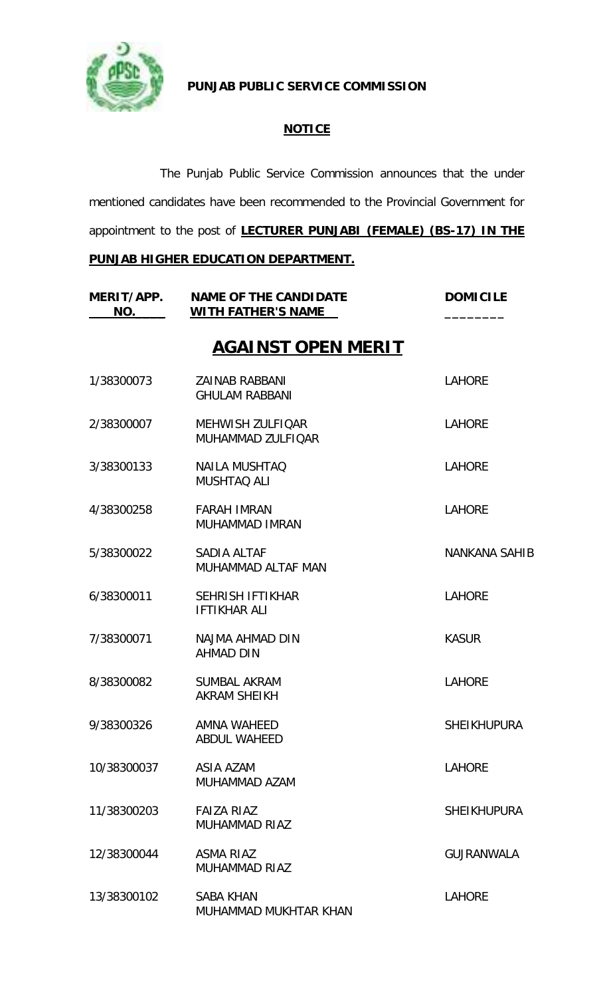

**PUNJAB PUBLIC SERVICE COMMISSION**

## **NOTICE**

The Punjab Public Service Commission announces that the under mentioned candidates have been recommended to the Provincial Government for appointment to the post of **LECTURER PUNJABI (FEMALE) (BS-17) IN THE**

## **PUNJAB HIGHER EDUCATION DEPARTMENT.**

| NO.         | MERIT/APP. NAME OF THE CANDIDATE<br><b>WITH FATHER'S NAME</b> | <b>DOMICILE</b>      |
|-------------|---------------------------------------------------------------|----------------------|
|             | <b>AGAINST OPEN MERIT</b>                                     |                      |
| 1/38300073  | <b>ZAINAB RABBANI</b><br><b>GHULAM RABBANI</b>                | <b>LAHORE</b>        |
| 2/38300007  | <b>MEHWISH ZULFIQAR</b><br>MUHAMMAD ZULFIQAR                  | <b>LAHORE</b>        |
| 3/38300133  | <b>NAILA MUSHTAQ</b><br><b>MUSHTAQ ALI</b>                    | <b>LAHORE</b>        |
| 4/38300258  | <b>FARAH IMRAN</b><br><b>MUHAMMAD IMRAN</b>                   | <b>LAHORE</b>        |
| 5/38300022  | SADIA ALTAF<br>MUHAMMAD ALTAF MAN                             | <b>NANKANA SAHIB</b> |
| 6/38300011  | <b>SEHRISH IFTIKHAR</b><br><b>IFTIKHAR ALI</b>                | <b>LAHORE</b>        |
| 7/38300071  | NAJMA AHMAD DIN<br><b>AHMAD DIN</b>                           | <b>KASUR</b>         |
| 8/38300082  | <b>SUMBAL AKRAM</b><br><b>AKRAM SHEIKH</b>                    | <b>LAHORE</b>        |
| 9/38300326  | AMNA WAHEED<br><b>ABDUL WAHEED</b>                            | <b>SHEIKHUPURA</b>   |
| 10/38300037 | ASIA AZAM<br>MUHAMMAD AZAM                                    | <b>LAHORE</b>        |
| 11/38300203 | <b>FAIZA RIAZ</b><br><b>MUHAMMAD RIAZ</b>                     | <b>SHEIKHUPURA</b>   |
| 12/38300044 | <b>ASMA RIAZ</b><br><b>MUHAMMAD RIAZ</b>                      | <b>GUJRANWALA</b>    |
| 13/38300102 | <b>SABA KHAN</b><br>MUHAMMAD MUKHTAR KHAN                     | <b>LAHORE</b>        |